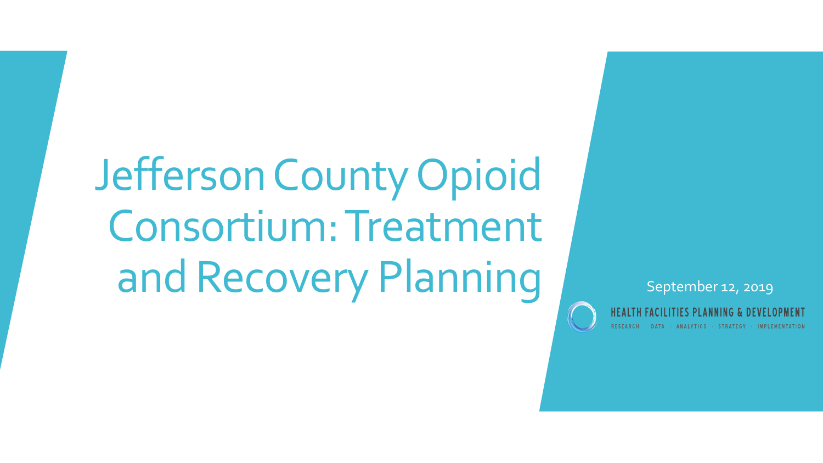Jefferson County Opioid Consortium: Treatment and Recovery Planning September 12, 2019





DATA · ANALYTICS · STRATEGY · IMPLEMENTATION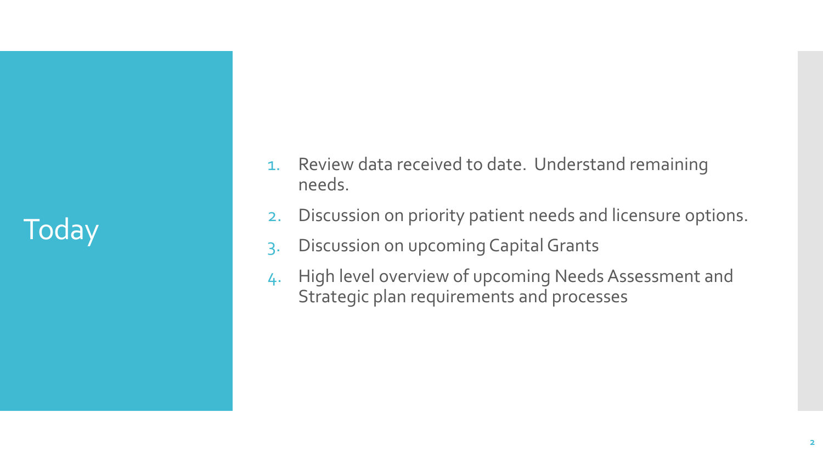# Today

- 1. Review data received to date. Understand remaining needs.
- 2. Discussion on priority patient needs and licensure options.
- 3. Discussion on upcoming Capital Grants
- 4. High level overview of upcoming Needs Assessment and Strategic plan requirements and processes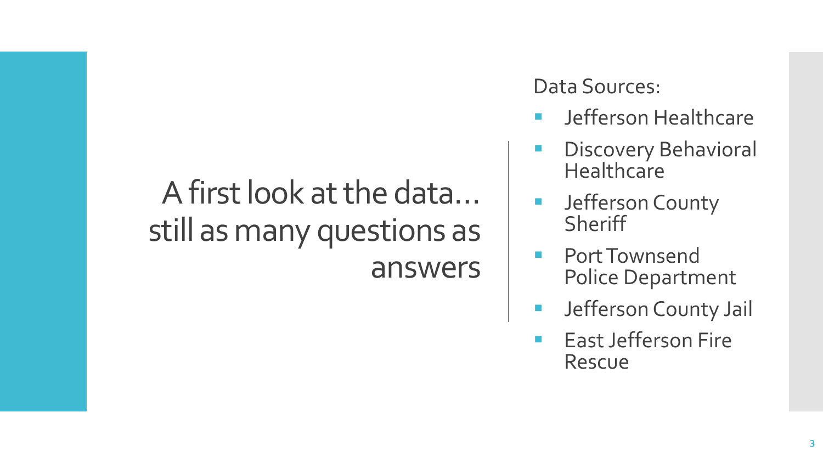# A first look at the data… still as many questions as answers

Data Sources:

- **Ender Secon Healthcare**
- **Discovery Behavioral Healthcare**
- **E** Jefferson County **Sheriff**
- Port Townsend Police Department
- **Ending Section** County Jail
- East Jefferson Fire Rescue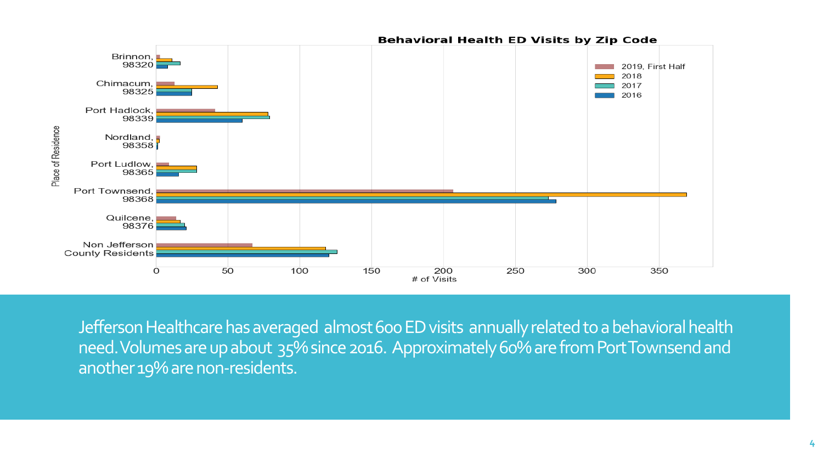

Jefferson Healthcare has averaged almost 600 ED visits annually related to a behavioral health need. Volumes are up about 35% since 2016. Approximately 60% are from Port Townsend and another 19% are non-residents.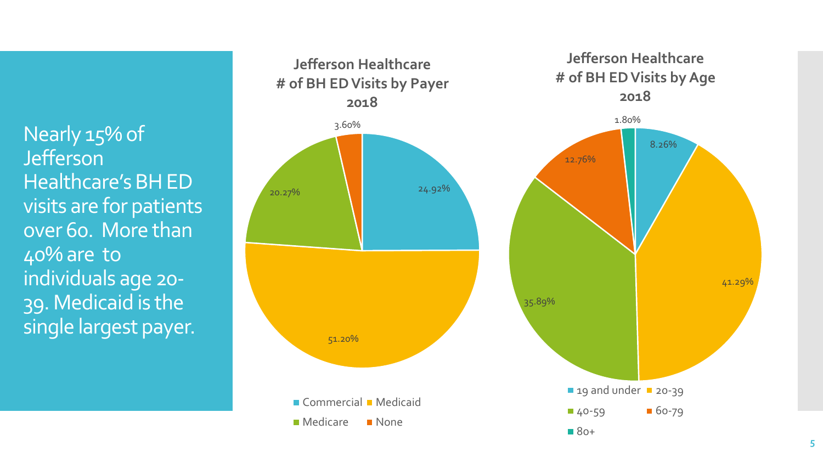Nearly 15% of **Jefferson** Healthcare's BH ED visits are for patients over 60. More than 40% are to individuals age 20 - 39. Medicaid is the single largest payer.



41.29%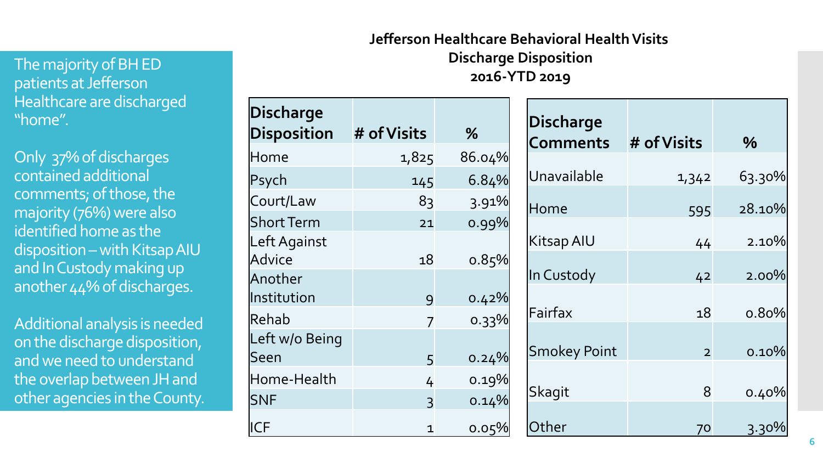The majority of BH ED patients at Jefferson Healthcare are discharged "home".

Only 37% of discharges contained additional comments; of those, the majority (76%) were also identified home as the disposition – with Kitsap AIU and In Custody making up another 44% of discharges.

Additional analysis is needed on the discharge disposition, and we need to understand the overlap between JH and other agencies in the County.

| <b>Discharge</b><br><b>Disposition</b>   | # of Visits    | %      |
|------------------------------------------|----------------|--------|
| Home                                     | 1,825          | 86.04% |
| Psych                                    | 145            | 6.84%  |
| Court/Law                                | 83             | 3.91%  |
| <b>Short Term</b>                        | 21             | 0.99%  |
| Left Against<br><b>Advice</b><br>Another | 18             | 0.85%  |
| Institution                              | 9              | 0.42%  |
| Rehab                                    | 7              | 0.33%  |
| Left w/o Being<br> Seen                  | 5              | 0.24%  |
| Home-Health                              | 4              | 0.19%  |
| <b>SNF</b>                               | $\overline{3}$ | 0.14%  |
| <b>ICF</b>                               | $\mathbf{1}$   | 0.05%  |

#### **Jefferson Healthcare Behavioral Health Visits Discharge Disposition 2016-YTD 2019**

| <b>Discharge</b><br><b>Comments</b> | # of Visits    | %             |
|-------------------------------------|----------------|---------------|
| Unavailable                         | 1,342          | 63.30%        |
| Home                                | 595            | 28.10%        |
| Kitsap AIU                          | 44             | 2.10%         |
| In Custody                          | 42             | 2.00%         |
| Fairfax                             | 18             | 0.80%         |
|                                     |                |               |
| <b>Smokey Point</b>                 | $\overline{2}$ | $0.10\%$      |
| Skagit                              | 8              | $0.40\%$      |
| Other                               | 70             | <u>3</u> .30% |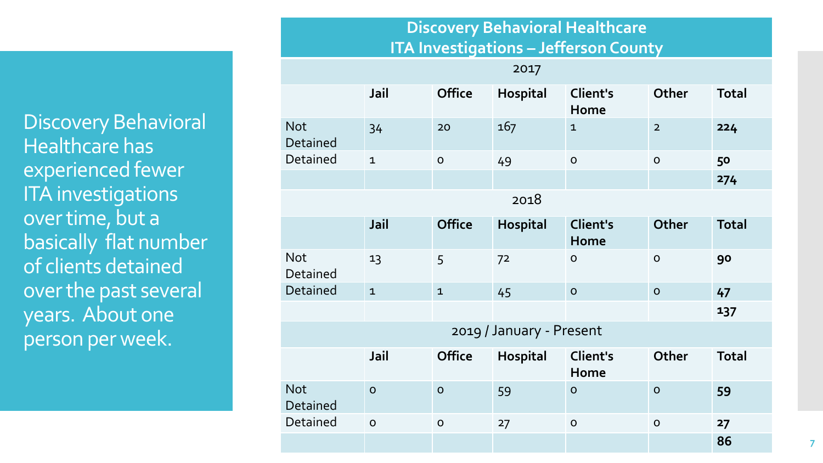**Discovery Behavioral Healthcare**

**ITA Investigations – Jefferson County**  $2017$ 

Discovery Behavioral Healthcare has experienced fewer ITA investigations over time, but a basically flat number of clients detained over the past several years. About one person per week.

| ---,                     |              |               |                 |                  |                |              |
|--------------------------|--------------|---------------|-----------------|------------------|----------------|--------------|
|                          | Jail         | <b>Office</b> | <b>Hospital</b> | Client's<br>Home | Other          | <b>Total</b> |
| <b>Not</b><br>Detained   | 34           | 20            | 167             | $\mathbf{1}$     | $\overline{2}$ | 224          |
| Detained                 | $\mathbf{1}$ | $\mathsf O$   | 49              | $\mathsf O$      | $\mathsf{O}$   | 50           |
|                          |              |               |                 |                  |                | 274          |
| 2018                     |              |               |                 |                  |                |              |
|                          | Jail         | <b>Office</b> | Hospital        | Client's<br>Home | Other          | <b>Total</b> |
| <b>Not</b><br>Detained   | 13           | 5             | 72              | $\mathsf O$      | $\mathsf{O}$   | 90           |
| Detained                 | $\mathbf{1}$ | $\mathbf{1}$  | 45              | $\mathsf{O}$     | $\mathsf{O}$   | 47           |
|                          |              |               |                 |                  |                | 137          |
| 2019 / January - Present |              |               |                 |                  |                |              |
|                          | Jail         | <b>Office</b> | Hospital        | Client's<br>Home | Other          | <b>Total</b> |
| <b>Not</b><br>Detained   | $\mathsf O$  | $\mathsf O$   | 59              | $\mathsf O$      | $\mathbf 0$    | 59           |
| Detained                 | $\mathsf{O}$ | $\mathsf O$   | 27              | $\mathsf O$      | $\overline{O}$ | 27           |
|                          |              |               |                 |                  |                | 86           |

**7**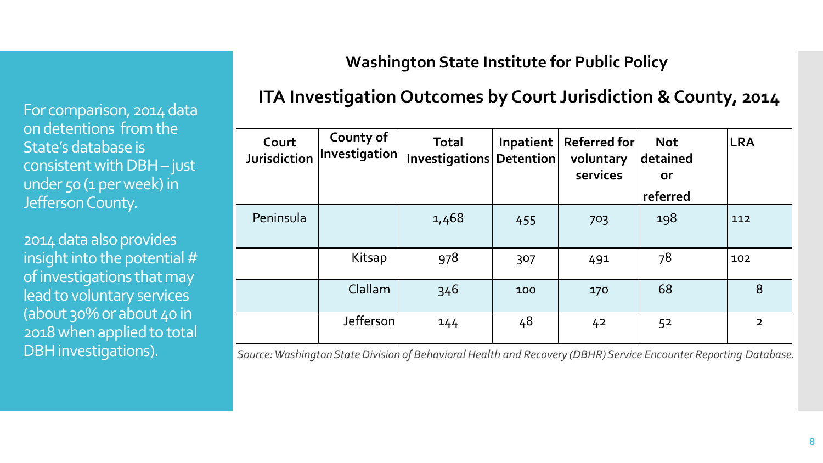For comparison, 2014 data on detentions from the State's database is consistent with DBH – just under 50 (1 per week) in Jefferson County.

2014 data also provides insight into the potential # of investigations that may lead to voluntary services (about 30% or about 40 in 2018 when applied to total DBH investigations).

### **Washington State Institute for Public Policy**

## **ITA Investigation Outcomes by Court Jurisdiction & County, 2014**

| Court<br>Jurisdiction | County of<br>Investigation | <b>Total</b><br>Investigations Detention |     | Inpatient   Referred for<br>voluntary<br>services | <b>Not</b><br>detained<br>or<br>referred | <b>LRA</b>     |
|-----------------------|----------------------------|------------------------------------------|-----|---------------------------------------------------|------------------------------------------|----------------|
| Peninsula             |                            | 1,468                                    | 455 | 703                                               | 198                                      | 112            |
|                       | Kitsap                     | 978                                      | 307 | 491                                               | 78                                       | 102            |
|                       | Clallam                    | 346                                      | 100 | 170                                               | 68                                       | 8              |
|                       | Jefferson                  | 144                                      | 48  | 4 <sup>2</sup>                                    | 52                                       | $\overline{2}$ |

*Source: Washington State Division of Behavioral Health and Recovery (DBHR) Service Encounter Reporting Database.*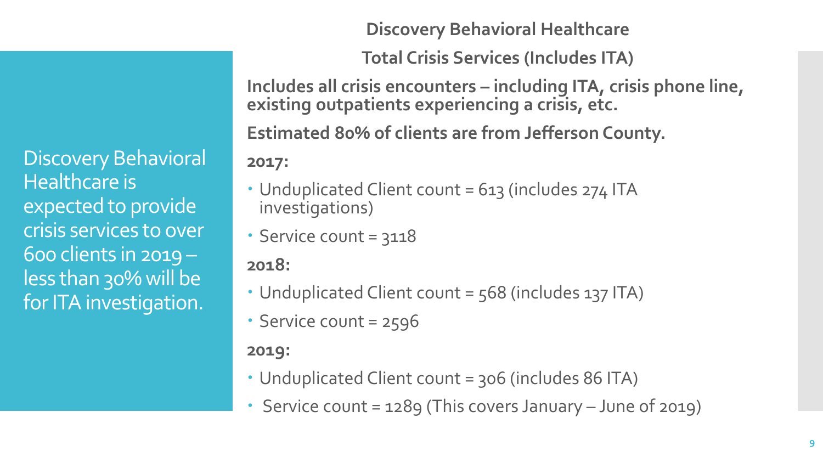Discovery Behavioral Healthcare is expected to provide crisis services to over 600 clients in 2019 – less than 30% will be for ITA investigation.

**Discovery Behavioral Healthcare**

**Total Crisis Services (Includes ITA)**

**Includes all crisis encounters – including ITA, crisis phone line, existing outpatients experiencing a crisis, etc.**

**Estimated 80% of clients are from Jefferson County.**

**2017:**

- Unduplicated Client count = 613 (includes 274 ITA investigations)
- Service count = 3118

### **2018:**

- Unduplicated Client count = 568 (includes 137 ITA)
- Service count = 2596

### **2019:**

- Unduplicated Client count = 306 (includes 86 ITA)
- Service count = 1289 (This covers January June of 2019)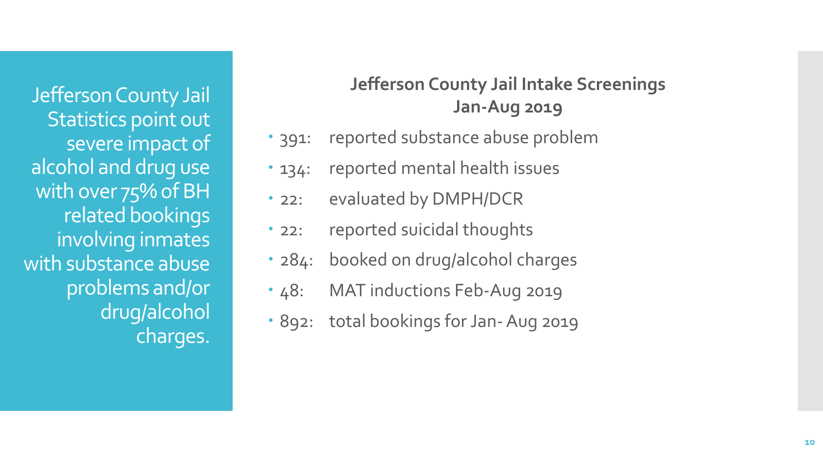**Jefferson County Jail Intake Screenings Jan-Aug 2019**

- 391: reported substance abuse problem
- 134: reported mental health issues
- 22: evaluated by DMPH/DCR
- 22: reported suicidal thoughts
- 284: booked on drug/alcohol charges
- 48: MAT inductions Feb-Aug 2019
- 892: total bookings for Jan-Aug 2019

Jefferson County Jail Statistics point out severe impact of alcohol and drug use with over 75% of BH related bookings involving inmates with substance abuse problems and/or drug/alcohol charges.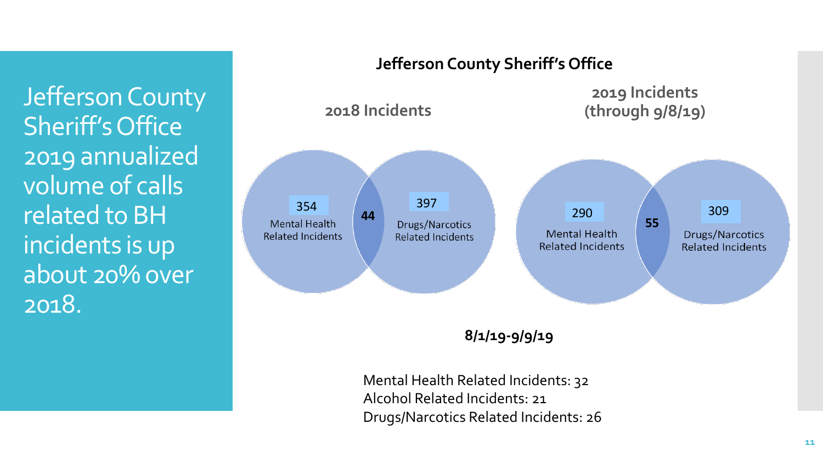Jefferson County Sheriff's Office 2019 annualized volume of calls related to BH incidents is up about 20% over 2018.

## **Jefferson County Sheriff's Office2019 Incidents 2018 Incidents (through 9/8/19)** 354 44 397 290 200 309 **44 55 55 Mental Health** Drugs/Narcotics **Related Incidents Related Incidents Related Incidents Related Incidents 8/1/19-9/9/19**

Mental Health Related Incidents: 32 Alcohol Related Incidents: 21 Drugs/Narcotics Related Incidents: 26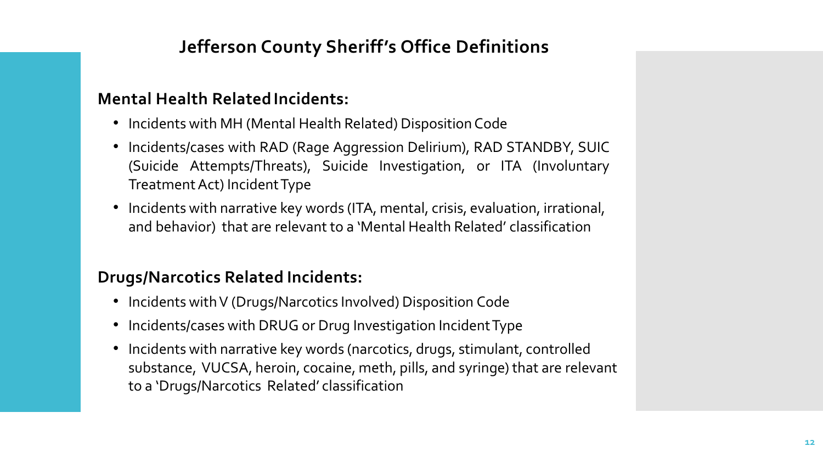## **Jefferson County Sheriff's Office Definitions**

#### **Mental Health RelatedIncidents:**

- Incidents with MH (Mental Health Related) Disposition Code
- Incidents/cases with RAD (Rage Aggression Delirium), RAD STANDBY, SUIC (Suicide Attempts/Threats), Suicide Investigation, or ITA (Involuntary TreatmentAct) IncidentType
- Incidents with narrative key words (ITA, mental, crisis, evaluation, irrational, and behavior) that are relevant to a 'Mental Health Related' classification

### **Drugs/Narcotics Related Incidents:**

- Incidents with V (Drugs/Narcotics Involved) Disposition Code
- Incidents/cases with DRUG or Drug Investigation Incident Type
- Incidents with narrative key words (narcotics, drugs, stimulant, controlled substance, VUCSA, heroin, cocaine, meth, pills, and syringe) that are relevant to a 'Drugs/Narcotics Related' classification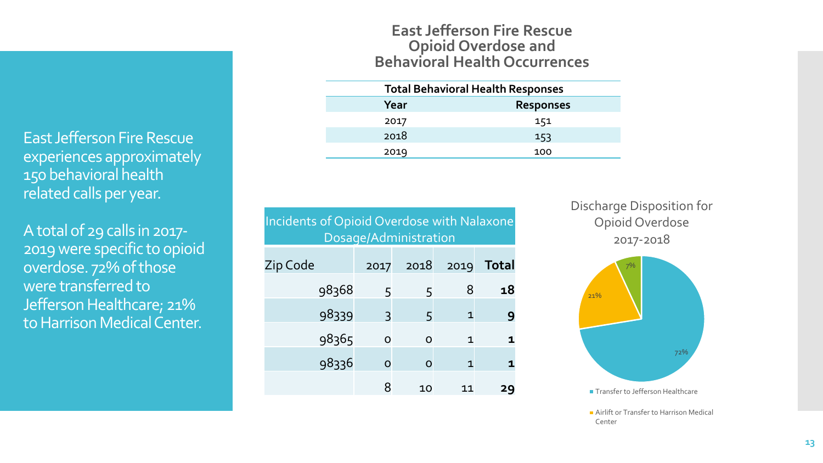#### **East Jefferson Fire Rescue Opioid Overdose and Behavioral Health Occurrences**

| <b>Total Behavioral Health Responses</b> |                  |  |  |
|------------------------------------------|------------------|--|--|
| Year                                     | <b>Responses</b> |  |  |
| 2017                                     | 151              |  |  |
| 2018                                     | 153              |  |  |
| 2019                                     | 100              |  |  |

| Incidents of Opioid Overdose with Nalaxone<br>Dosage/Administration |          |                |      |              |  |
|---------------------------------------------------------------------|----------|----------------|------|--------------|--|
| Zip Code                                                            | 2017     | 2018           | 2019 | <b>Total</b> |  |
| 98368                                                               | 5        | $\overline{5}$ | 8    | 18           |  |
| 98339                                                               | 3        | 5              | 1    |              |  |
| 98365                                                               | $\Omega$ | $\Omega$       | 1    |              |  |
| 98336                                                               | O        | O              | 1    |              |  |
|                                                                     | 8        | 10             |      | 29           |  |

Discharge Disposition for Opioid Overdose 2017-2018



**Airlift or Transfer to Harrison Medical** Center

East Jefferson Fire Rescue experiences approximately 150 behavioral health related calls per year.

A total of 29 calls in 2017- 2019 were specific to opioid overdose. 72% of those were transferred to Jefferson Healthcare; 21% to Harrison Medical Center.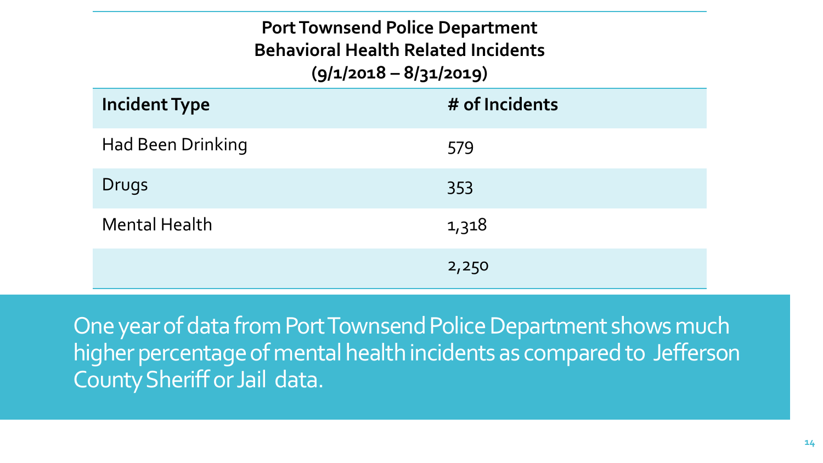| <b>Port Townsend Police Department</b><br><b>Behavioral Health Related Incidents</b><br>$(9/1/2018 - 8/31/2019)$ |                |  |  |
|------------------------------------------------------------------------------------------------------------------|----------------|--|--|
| <b>Incident Type</b>                                                                                             | # of Incidents |  |  |
| <b>Had Been Drinking</b>                                                                                         | 579            |  |  |
| Drugs                                                                                                            | 353            |  |  |
| <b>Mental Health</b>                                                                                             | 1,318          |  |  |
|                                                                                                                  | 2,250          |  |  |

One year of data from Port Townsend Police Department shows much higher percentage of mental health incidents as compared to Jefferson County Sheriff or Jail data.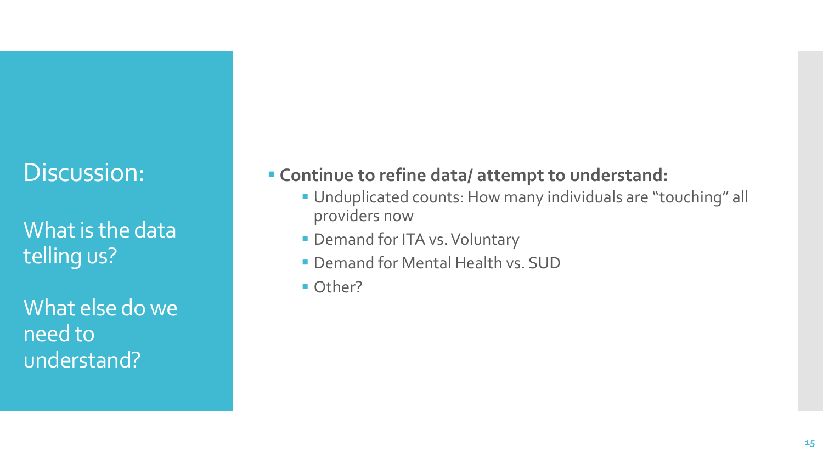## Discussion:

What is the data telling us?

What else do we need to understand?

## ▪ **Continue to refine data/ attempt to understand:**

- Unduplicated counts: How many individuals are "touching" all providers now
- **Demand for ITA vs. Voluntary**
- **Demand for Mental Health vs. SUD**
- Other?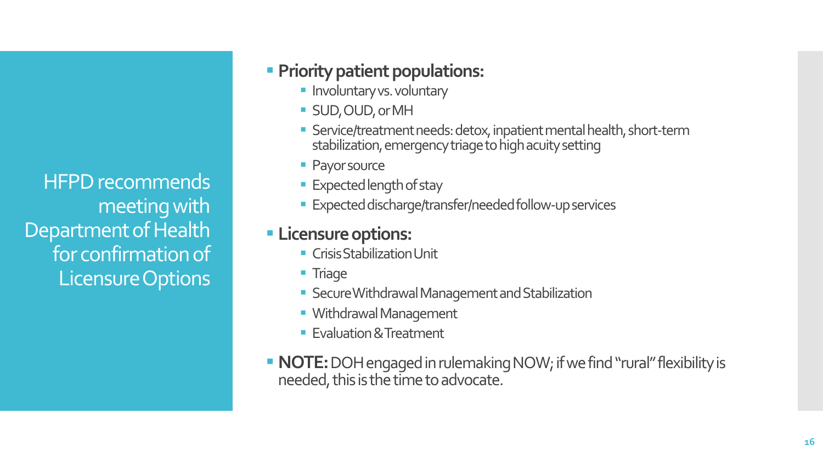HFPD recommends meeting with Department of Health for confirmation of Licensure Options

## ▪ **Priority patient populations:**

- **·** Involuntary vs. voluntary
- SUD, OUD, or MH
- Service/treatment needs: detox, inpatient mental health, short-term stabilization, emergency triage to high acuity setting
- Payor source
- **Expected length of stay**
- **Expected discharge/transfer/needed follow-up services**

## ▪ **Licensure options:**

- Crisis Stabilization Unit
- Triage
- **E** Secure Withdrawal Management and Stabilization
- **Withdrawal Management**
- **Evaluation & Treatment**
- **NOTE:**DOH engaged in rulemaking NOW; if we find "rural" flexibility is needed, this is the time to advocate.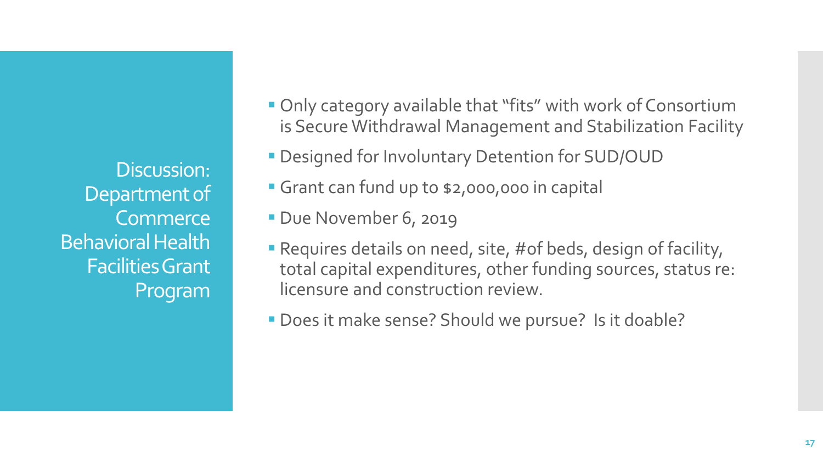Discussion: Department of **Commerce** Behavioral Health Facilities Grant Program

- **Only category available that "fits" with work of Consortium** is Secure Withdrawal Management and Stabilization Facility
- **Designed for Involuntary Detention for SUD/OUD**
- **Grant can fund up to \$2,000,000 in capital**
- **Due November 6, 2019**
- **Requires details on need, site, #of beds, design of facility,** total capital expenditures, other funding sources, status re: licensure and construction review.
- **Does it make sense? Should we pursue? Is it doable?**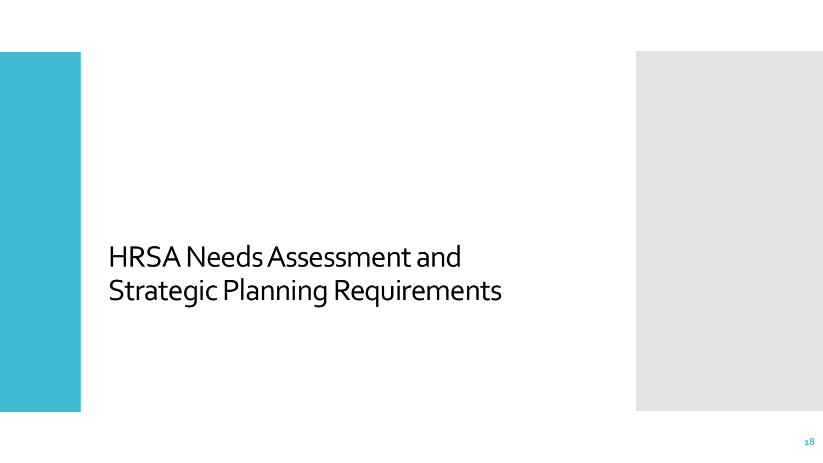HRSA Needs Assessment and Strategic Planning Requirements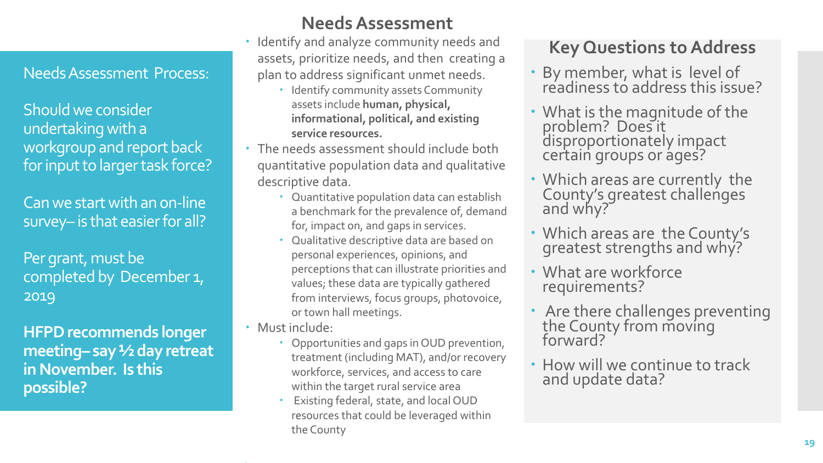Needs Assessment Process:

Should we consider undertaking with a workgroup and report back for input to larger task force?

Can we start with an on-line survey– is that easier for all?

Per grant, must be completed by December 1, 2019

**HFPD recommends longer meeting– say ½ day retreat in November. Is this possible?** 

## **Needs Assessment**

- Identify and analyze community needs and assets, prioritize needs, and then creating a plan to address significant unmet needs.
	- Identify community assets Community assets include **human, physical, informational, political, and existing service resources.**
- The needs assessment should include both quantitative population data and qualitative descriptive data.
	- Quantitative population data can establish a benchmark for the prevalence of, demand for, impact on, and gaps in services.
	- Qualitative descriptive data are based on personal experiences, opinions, and perceptions that can illustrate priorities and values; these data are typically gathered from interviews, focus groups, photovoice, or town hall meetings.
- Must include:
	- Opportunities and gaps in OUD prevention, treatment (including MAT), and/or recovery workforce, services, and access to care within the target rural service area
	- Existing federal, state, and local OUD resources that could be leveraged within the County

## **Key Questions to Address**

- By member, what is level of readiness to address this issue?
- What is the magnitude of the problem? Does it disproportionately impact certain groups or ages?
- Which areas are currently the County's greatest challenges and why?
- Which areas are the County's greatest strengths and why?
- What are workforce requirements?
- Are there challenges preventing the County from moving forward?
- How will we continue to track and update data?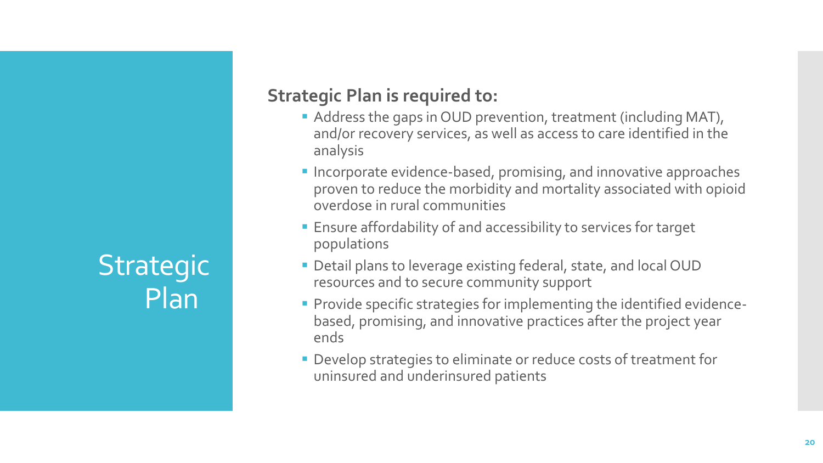# **Strategic** Plan

## **Strategic Plan is required to:**

- Address the gaps in OUD prevention, treatment (including MAT), and/or recovery services, as well as access to care identified in the analysis
- Incorporate evidence-based, promising, and innovative approaches proven to reduce the morbidity and mortality associated with opioid overdose in rural communities
- **Ensure affordability of and accessibility to services for target** populations
- Detail plans to leverage existing federal, state, and local OUD resources and to secure community support
- Provide specific strategies for implementing the identified evidencebased, promising, and innovative practices after the project year ends
- **Develop strategies to eliminate or reduce costs of treatment for** uninsured and underinsured patients